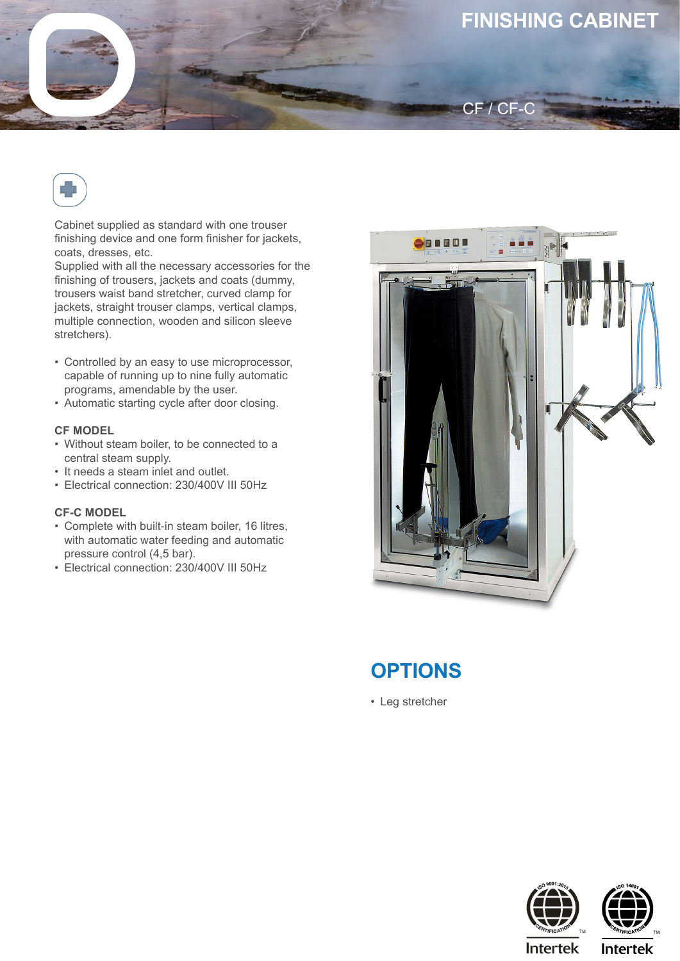



Cabinet supplied as standard with one trouser finishing device and one form finisher for jackets, coats, dresses, etc.

Supplied with all the necessary accessories for the finishing of trousers, jackets and coats (dummy, trousers waist band stretcher, curved clamp for jackets, straight trouser clamps, vertical clamps, multiple connection, wooden and silicon sleeve stretchers).

- Controlled by an easy to use microprocessor, capable of running up to nine fully automatic programs, amendable by the user.
- Automatic starting cycle after door closing.

## **CF MODEL**

- Without steam boiler, to be connected to a central steam supply.
- It needs a steam inlet and outlet.
- Electrical connection: 230/400V III 50Hz

## **CF-C MODEL**

- Complete with built-in steam boiler, 16 litres, with automatic water feeding and automatic pressure control (4,5 bar).
- Electrical connection: 230/400V III 50Hz



## **OPTIONS**

• Leg stretcher